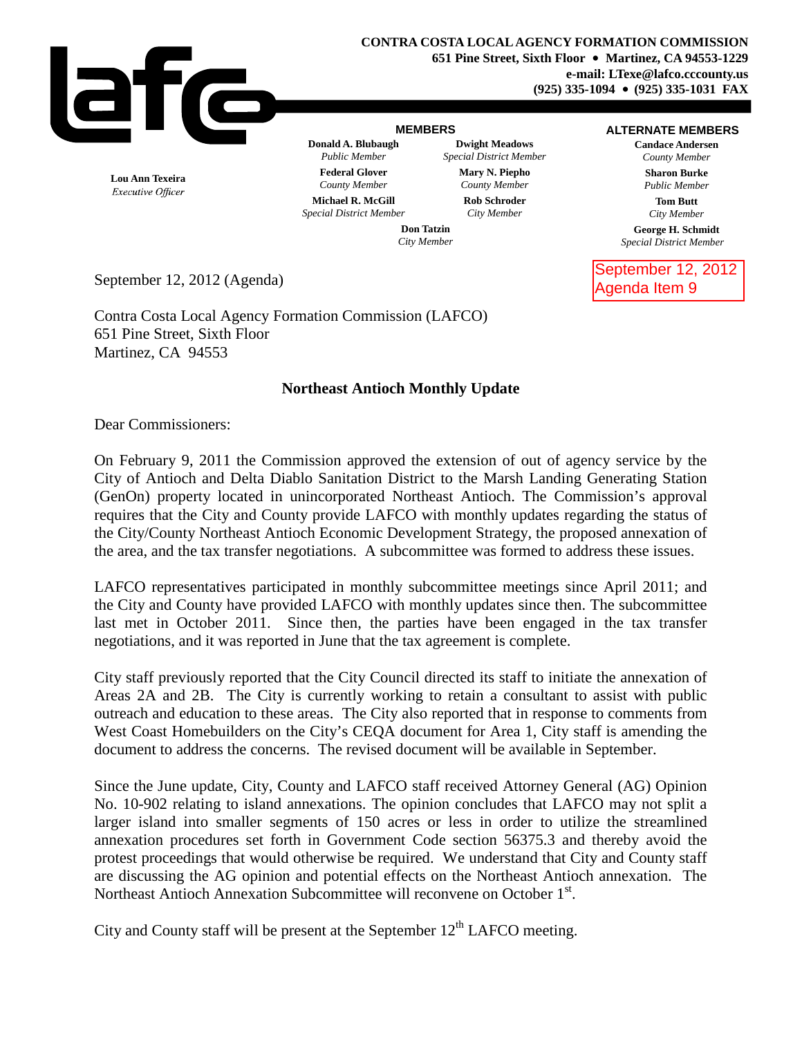

## **MEMBERS**

## **ALTERNATE MEMBERS**

**Candace Andersen** *County Member* **Sharon Burke** *Public Member*

**Tom Butt** *City Member*

**George H. Schmidt** *Special District Member*

September 12, 2012 Agenda Item 9

**Lou Ann Texeira** Executive Officer

*County Member County Member* **Michael R. McGill Rob Schroder** *Special District Member City Member*

**Donald A. Blubaugh Dwight Meadows** *Public Member Special District Member* **Federal Glover Mary N. Piepho**

> **Don Tatzin** *City Member*

September 12, 2012 (Agenda)

Contra Costa Local Agency Formation Commission (LAFCO) 651 Pine Street, Sixth Floor Martinez, CA 94553

## **Northeast Antioch Monthly Update**

Dear Commissioners:

On February 9, 2011 the Commission approved the extension of out of agency service by the City of Antioch and Delta Diablo Sanitation District to the Marsh Landing Generating Station (GenOn) property located in unincorporated Northeast Antioch. The Commission's approval requires that the City and County provide LAFCO with monthly updates regarding the status of the City/County Northeast Antioch Economic Development Strategy, the proposed annexation of the area, and the tax transfer negotiations. A subcommittee was formed to address these issues.

LAFCO representatives participated in monthly subcommittee meetings since April 2011; and the City and County have provided LAFCO with monthly updates since then. The subcommittee last met in October 2011. Since then, the parties have been engaged in the tax transfer negotiations, and it was reported in June that the tax agreement is complete.

City staff previously reported that the City Council directed its staff to initiate the annexation of Areas 2A and 2B. The City is currently working to retain a consultant to assist with public outreach and education to these areas. The City also reported that in response to comments from West Coast Homebuilders on the City's CEQA document for Area 1, City staff is amending the document to address the concerns. The revised document will be available in September.

Since the June update, City, County and LAFCO staff received Attorney General (AG) Opinion No. 10-902 relating to island annexations. The opinion concludes that LAFCO may not split a larger island into smaller segments of 150 acres or less in order to utilize the streamlined annexation procedures set forth in Government Code section 56375.3 and thereby avoid the protest proceedings that would otherwise be required. We understand that City and County staff are discussing the AG opinion and potential effects on the Northeast Antioch annexation. The Northeast Antioch Annexation Subcommittee will reconvene on October 1<sup>st</sup>.

City and County staff will be present at the September  $12<sup>th</sup>$  LAFCO meeting.